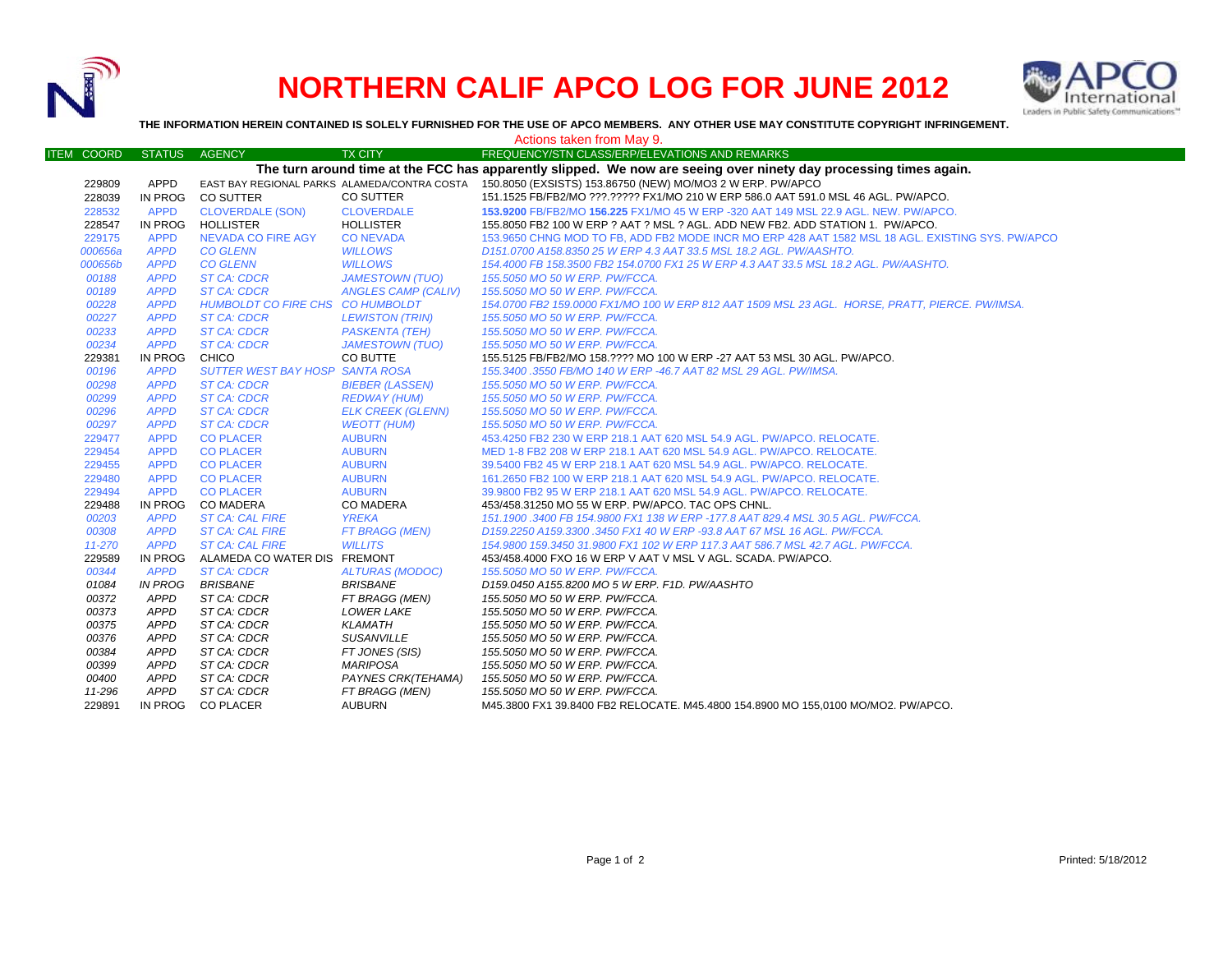

## **NORTHERN CALIF APCO LOG FOR JUNE 2012**



**THE INFORMATION HEREIN CONTAINED IS SOLELY FURNISHED FOR THE USE OF APCO MEMBERS. ANY OTHER USE MAY CONSTITUTE COPYRIGHT INFRINGEMENT.**

|                   |               |                                        |                            | Actions taken from May 9.                                                                                         |
|-------------------|---------------|----------------------------------------|----------------------------|-------------------------------------------------------------------------------------------------------------------|
| <b>ITEM COORD</b> | <b>STATUS</b> | <b>AGENCY</b>                          | <b>TX CITY</b>             | FREQUENCY/STN CLASS/ERP/ELEVATIONS AND REMARKS                                                                    |
|                   |               |                                        |                            | The turn around time at the FCC has apparently slipped. We now are seeing over ninety day processing times again. |
| 229809            | APPD          |                                        |                            | EAST BAY REGIONAL PARKS ALAMEDA/CONTRA COSTA 150.8050 (EXSISTS) 153.86750 (NEW) MO/MO3 2 W ERP. PW/APCO           |
| 228039            | IN PROG       | <b>CO SUTTER</b>                       | CO SUTTER                  | 151.1525 FB/FB2/MO ???.????? FX1/MO 210 W ERP 586.0 AAT 591.0 MSL 46 AGL. PW/APCO.                                |
| 228532            | <b>APPD</b>   | <b>CLOVERDALE (SON)</b>                | <b>CLOVERDALE</b>          | 153,9200 FB/FB2/MO 156,225 FX1/MO 45 W ERP -320 AAT 149 MSL 22.9 AGL. NEW. PW/APCO.                               |
| 228547            | IN PROG       | <b>HOLLISTER</b>                       | <b>HOLLISTER</b>           | 155.8050 FB2 100 W ERP ? AAT ? MSL ? AGL. ADD NEW FB2. ADD STATION 1. PW/APCO.                                    |
| 229175            | <b>APPD</b>   | <b>NEVADA CO FIRE AGY</b>              | <b>CONEVADA</b>            | 153.9650 CHNG MOD TO FB, ADD FB2 MODE INCR MO ERP 428 AAT 1582 MSL 18 AGL. EXISTING SYS. PW/APCO                  |
| 000656a           | <b>APPD</b>   | <b>CO GLENN</b>                        | <b>WILLOWS</b>             | D151.0700 A158.8350 25 W ERP 4.3 AAT 33.5 MSL 18.2 AGL. PW/AASHTO.                                                |
| 000656b           | <b>APPD</b>   | <b>CO GLENN</b>                        | <b>WILLOWS</b>             | 154.4000 FB 158.3500 FB2 154.0700 FX1 25 W ERP 4.3 AAT 33.5 MSL 18.2 AGL. PW/AASHTO.                              |
| 00188             | <b>APPD</b>   | <b>ST CA: CDCR</b>                     | <b>JAMESTOWN (TUO)</b>     | 155.5050 MO 50 W ERP. PW/FCCA.                                                                                    |
| 00189             | <b>APPD</b>   | <b>ST CA: CDCR</b>                     | <b>ANGLES CAMP (CALIV)</b> | 155.5050 MO 50 W ERP. PW/FCCA.                                                                                    |
| 00228             | <b>APPD</b>   | HUMBOLDT CO FIRE CHS CO HUMBOLDT       |                            | 154.0700 FB2 159.0000 FX1/MO 100 W ERP 812 AAT 1509 MSL 23 AGL. HORSE, PRATT, PIERCE. PW/IMSA.                    |
| 00227             | <b>APPD</b>   | <b>ST CA: CDCR</b>                     | <b>LEWISTON (TRIN)</b>     | 155,5050 MO 50 W ERP. PW/FCCA.                                                                                    |
| 00233             | <b>APPD</b>   | <b>ST CA: CDCR</b>                     | <b>PASKENTA (TEH)</b>      | 155.5050 MO 50 W ERP. PW/FCCA.                                                                                    |
| 00234             | <b>APPD</b>   | <b>ST CA: CDCR</b>                     | <b>JAMESTOWN (TUO)</b>     | 155.5050 MO 50 W ERP. PW/FCCA.                                                                                    |
| 229381            | IN PROG       | CHICO                                  | CO BUTTE                   | 155.5125 FB/FB2/MO 158.???? MO 100 W ERP -27 AAT 53 MSL 30 AGL. PW/APCO.                                          |
| 00196             | <b>APPD</b>   | <b>SUTTER WEST BAY HOSP SANTA ROSA</b> |                            | 155.3400 .3550 FB/MO 140 W ERP -46.7 AAT 82 MSL 29 AGL. PW/IMSA.                                                  |
| 00298             | <b>APPD</b>   | <b>ST CA: CDCR</b>                     | <b>BIEBER (LASSEN)</b>     | 155.5050 MO 50 W ERP. PW/FCCA.                                                                                    |
| 00299             | <b>APPD</b>   | <b>ST CA: CDCR</b>                     | <b>REDWAY (HUM)</b>        | 155.5050 MO 50 W ERP. PW/FCCA.                                                                                    |
| 00296             | <b>APPD</b>   | <b>ST CA: CDCR</b>                     | <b>ELK CREEK (GLENN)</b>   | 155.5050 MO 50 W ERP. PW/FCCA.                                                                                    |
| 00297             | <b>APPD</b>   | ST CA: CDCR                            | <b>WEOTT (HUM)</b>         | 155.5050 MO 50 W ERP. PW/FCCA.                                                                                    |
| 229477            | <b>APPD</b>   | <b>CO PLACER</b>                       | <b>AUBURN</b>              | 453.4250 FB2 230 W ERP 218.1 AAT 620 MSL 54.9 AGL. PW/APCO. RELOCATE.                                             |
| 229454            | <b>APPD</b>   | <b>CO PLACER</b>                       | <b>AUBURN</b>              | MED 1-8 FB2 208 W ERP 218.1 AAT 620 MSL 54.9 AGL. PW/APCO. RELOCATE.                                              |
| 229455            | <b>APPD</b>   | <b>CO PLACER</b>                       | <b>AUBURN</b>              | 39.5400 FB2 45 W ERP 218.1 AAT 620 MSL 54.9 AGL. PW/APCO. RELOCATE.                                               |
| 229480            | <b>APPD</b>   | <b>CO PLACER</b>                       | <b>AUBURN</b>              | 161.2650 FB2 100 W ERP 218.1 AAT 620 MSL 54.9 AGL. PW/APCO. RELOCATE.                                             |
| 229494            | <b>APPD</b>   | <b>CO PLACER</b>                       | <b>AUBURN</b>              | 39.9800 FB2 95 W ERP 218.1 AAT 620 MSL 54.9 AGL. PW/APCO. RELOCATE.                                               |
| 229488            | IN PROG       | <b>CO MADERA</b>                       | <b>CO MADERA</b>           | 453/458.31250 MO 55 W ERP. PW/APCO. TAC OPS CHNL.                                                                 |
| 00203             | <b>APPD</b>   | <b>ST CA: CAL FIRE</b>                 | <b>YREKA</b>               | 151.1900 .3400 FB 154.9800 FX1 138 W ERP -177.8 AAT 829.4 MSL 30.5 AGL. PW/FCCA.                                  |
| 00308             | <b>APPD</b>   | <b>ST CA: CAL FIRE</b>                 | FT BRAGG (MEN)             | D159.2250 A159.3300 .3450 FX1 40 W ERP -93.8 AAT 67 MSL 16 AGL. PW/FCCA.                                          |
| 11-270            | <b>APPD</b>   | <b>ST CA: CAL FIRE</b>                 | <b>WILLITS</b>             | 154,9800 159,3450 31,9800 FX1 102 W ERP 117,3 AAT 586,7 MSL 42,7 AGL, PW/FCCA,                                    |
| 229589            | IN PROG       | ALAMEDA CO WATER DIS FREMONT           |                            | 453/458.4000 FXO 16 W ERP V AAT V MSL V AGL. SCADA. PW/APCO.                                                      |
| 00344             | <b>APPD</b>   | <b>ST CA: CDCR</b>                     | <b>ALTURAS (MODOC)</b>     | 155,5050 MO 50 W ERP. PW/FCCA.                                                                                    |
| 01084             | IN PROG       | <b>BRISBANE</b>                        | <b>BRISBANE</b>            | D159.0450 A155.8200 MO 5 W ERP. F1D. PW/AASHTO                                                                    |
| 00372             | <b>APPD</b>   | ST CA: CDCR                            | FT BRAGG (MEN)             | 155.5050 MO 50 W ERP. PW/FCCA.                                                                                    |
| 00373             | <b>APPD</b>   | ST CA: CDCR                            | <b>LOWER LAKE</b>          | 155.5050 MO 50 W ERP. PW/FCCA.                                                                                    |
| 00375             | <b>APPD</b>   | ST CA: CDCR                            | <b>KLAMATH</b>             | 155.5050 MO 50 W ERP. PW/FCCA.                                                                                    |
| 00376             | <b>APPD</b>   | ST CA: CDCR                            | <b>SUSANVILLE</b>          | 155.5050 MO 50 W ERP. PW/FCCA.                                                                                    |
| 00384             | <b>APPD</b>   | ST CA: CDCR                            | FT JONES (SIS)             | 155.5050 MO 50 W ERP. PW/FCCA.                                                                                    |
| 00399             | <b>APPD</b>   | ST CA: CDCR                            | <b>MARIPOSA</b>            | 155.5050 MO 50 W ERP. PW/FCCA.                                                                                    |
| 00400             | <b>APPD</b>   | ST CA: CDCR                            | PAYNES CRK(TEHAMA)         | 155.5050 MO 50 W ERP. PW/FCCA.                                                                                    |
| 11-296            | <b>APPD</b>   | ST CA: CDCR                            | FT BRAGG (MEN)             | 155.5050 MO 50 W ERP. PW/FCCA.                                                                                    |
| 229891            | IN PROG       | <b>CO PLACER</b>                       | <b>AUBURN</b>              | M45.3800 FX1 39.8400 FB2 RELOCATE. M45.4800 154.8900 MO 155.0100 MO/MO2. PW/APCO.                                 |